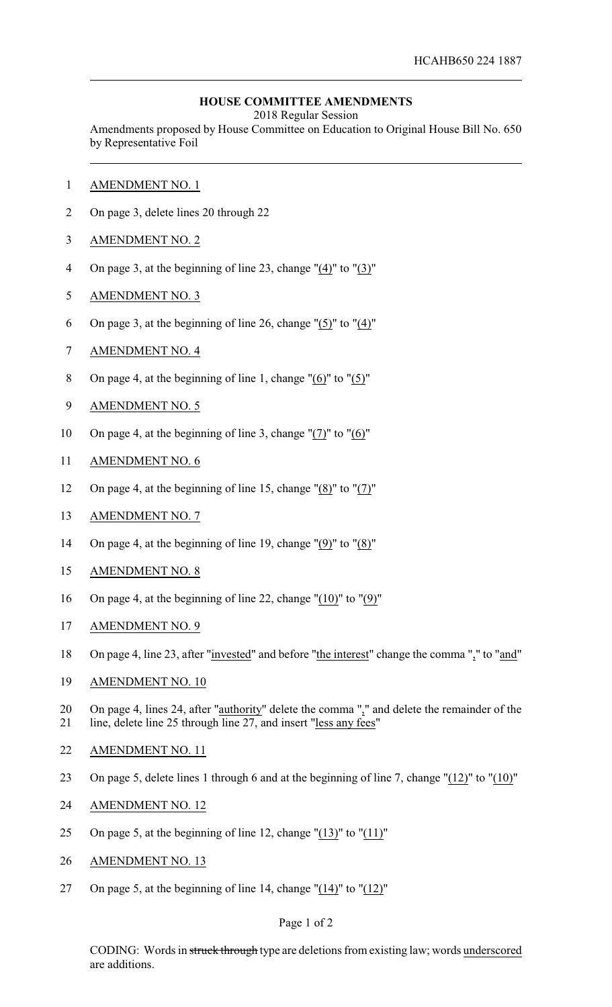## **HOUSE COMMITTEE AMENDMENTS**

2018 Regular Session

Amendments proposed by House Committee on Education to Original House Bill No. 650 by Representative Foil

- AMENDMENT NO. 1
- On page 3, delete lines 20 through 22
- AMENDMENT NO. 2
- On page 3, at the beginning of line 23, change "(4)" to "(3)"
- AMENDMENT NO. 3
- On page 3, at the beginning of line 26, change "(5)" to "(4)"
- AMENDMENT NO. 4
- On page 4, at the beginning of line 1, change "(6)" to "(5)"
- AMENDMENT NO. 5
- On page 4, at the beginning of line 3, change "(7)" to "(6)"
- AMENDMENT NO. 6
- On page 4, at the beginning of line 15, change "(8)" to "(7)"
- AMENDMENT NO. 7
- On page 4, at the beginning of line 19, change "(9)" to "(8)"
- AMENDMENT NO. 8
- On page 4, at the beginning of line 22, change "(10)" to "(9)"
- AMENDMENT NO. 9
- On page 4, line 23, after "invested" and before "the interest" change the comma "," to "and"
- AMENDMENT NO. 10
- 20 On page 4, lines 24, after "authority" delete the comma "," and delete the remainder of the line, delete line 25 through line 27, and insert "less any fees"
- AMENDMENT NO. 11
- On page 5, delete lines 1 through 6 and at the beginning of line 7, change "(12)" to "(10)"
- AMENDMENT NO. 12
- 25 On page 5, at the beginning of line 12, change " $(13)$ " to " $(11)$ "
- AMENDMENT NO. 13
- On page 5, at the beginning of line 14, change "(14)" to "(12)"

## Page 1 of 2

CODING: Words in struck through type are deletions from existing law; words underscored are additions.